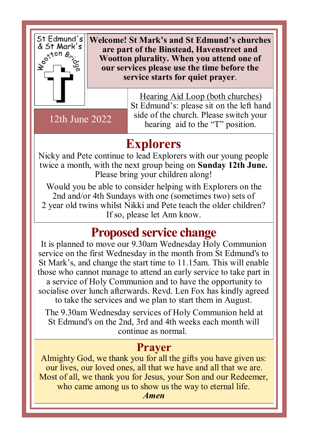

**Welcome! St Mark's and St Edmund's churches are part of the Binstead, Havenstreet and Wootton plurality. When you attend one of our services please use the time before the service starts for quiet prayer**.

12th June 2022

Hearing Aid Loop (both churches) St Edmund's: please sit on the left hand side of the church. Please switch your hearing aid to the "T" position.

## **Explorers**

Nicky and Pete continue to lead Explorers with our young people twice a month, with the next group being on **Sunday 12th June.**  Please bring your children along!

Would you be able to consider helping with Explorers on the 2nd and/or 4th Sundays with one (sometimes two) sets of 2 year old twins whilst Nikki and Pete teach the older children? If so, please let Ann know.

# **Proposed service change**

It is planned to move our 9.30am Wednesday Holy Communion service on the first Wednesday in the month from St Edmund's to St Mark's, and change the start time to 11.15am. This will enable those who cannot manage to attend an early service to take part in a service of Holy Communion and to have the opportunity to socialise over lunch afterwards. Revd. Len Fox has kindly agreed to take the services and we plan to start them in August.

The 9.30am Wednesday services of Holy Communion held at St Edmund's on the 2nd, 3rd and 4th weeks each month will continue as normal.

#### **Prayer**

Almighty God, we thank you for all the gifts you have given us: our lives, our loved ones, all that we have and all that we are. Most of all, we thank you for Jesus, your Son and our Redeemer, who came among us to show us the way to eternal life.

*Amen*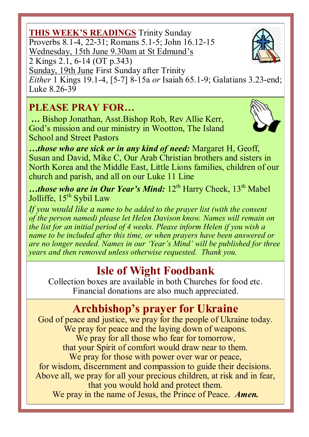#### **THIS WEEK'S READINGS** Trinity Sunday Proverbs 8.1-4, 22-31; Romans 5.1-5; John 16.12-15 Wednesday, 15th June 9.30am at St Edmund's 2 Kings 2.1, 6-14 (OT p.343)

Sunday, 19th June First Sunday after Trinity

*Either* 1 Kings 19.1-4, [5-7] 8-15a *or* Isaiah 65.1-9; Galatians 3.23-end; Luke 8.26-39

#### **PLEASE PRAY FOR…**

**…** Bishop Jonathan, Asst.Bishop Rob, Rev Allie Kerr, God's mission and our ministry in Wootton, The Island School and Street Pastors

*…those who are sick or in any kind of need:* Margaret H, Geoff, Susan and David, Mike C, Our Arab Christian brothers and sisters in North Korea and the Middle East, Little Lions families, children of our church and parish, and all on our Luke 11 Line

…those who are in Our Year's Mind: 12<sup>th</sup> Harry Cheek, 13<sup>th</sup> Mabel Jolliffe, 15<sup>th</sup> Sybil Law

*If you would like a name to be added to the prayer list (with the consent of the person named) please let Helen Davison know. Names will remain on the list for an initial period of 4 weeks. Please inform Helen if you wish a name to be included after this time, or when prayers have been answered or are no longer needed. Names in our 'Year's Mind' will be published for three years and then removed unless otherwise requested. Thank you.*

## **Isle of Wight Foodbank**

Collection boxes are available in both Churches for food etc. Financial donations are also much appreciated.

## **Archbishop's prayer for Ukraine**

God of peace and justice, we pray for the people of Ukraine today. We pray for peace and the laying down of weapons. We pray for all those who fear for tomorrow, that your Spirit of comfort would draw near to them. We pray for those with power over war or peace, for wisdom, discernment and compassion to guide their decisions. Above all, we pray for all your precious children, at risk and in fear, that you would hold and protect them. We pray in the name of Jesus, the Prince of Peace. *Amen.*



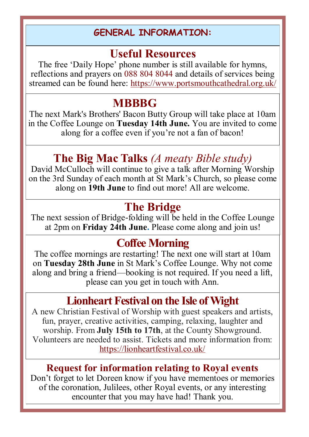#### **GENERAL INFORMATION:**

### **Useful Resources**

The free 'Daily Hope' phone number is still available for hymns, reflections and prayers on 088 804 8044 and details of services being streamed can be found here: https://www.portsmouthcathedral.org.uk/

### **MBBBG**

The next Mark's Brothers' Bacon Butty Group will take place at 10am in the Coffee Lounge on **Tuesday 14th June.** You are invited to come along for a coffee even if you're not a fan of bacon!

## **The Big Mac Talks** *(A meaty Bible study)*

David McCulloch will continue to give a talk after Morning Worship on the 3rd Sunday of each month at St Mark's Church, so please come along on **19th June** to find out more! All are welcome.

### **The Bridge**

The next session of Bridge-folding will be held in the Coffee Lounge at 2pm on **Friday 24th June.** Please come along and join us!

### **Coffee Morning**

The coffee mornings are restarting! The next one will start at 10am on **Tuesday 28th June** in St Mark's Coffee Lounge. Why not come along and bring a friend—booking is not required. If you need a lift, please can you get in touch with Ann.

### **Lionheart Festival on the Isle of Wight**

A new Christian Festival of Worship with guest speakers and artists, fun, prayer, creative activities, camping, relaxing, laughter and worship. From **July 15th to 17th**, at the County Showground. Volunteers are needed to assist. Tickets and more information from: https://lionheartfestival.co.uk/

#### **Request for information relating to Royal events**

Don't forget to let Doreen know if you have mementoes or memories of the coronation, Julilees, other Royal events, or any interesting encounter that you may have had! Thank you.